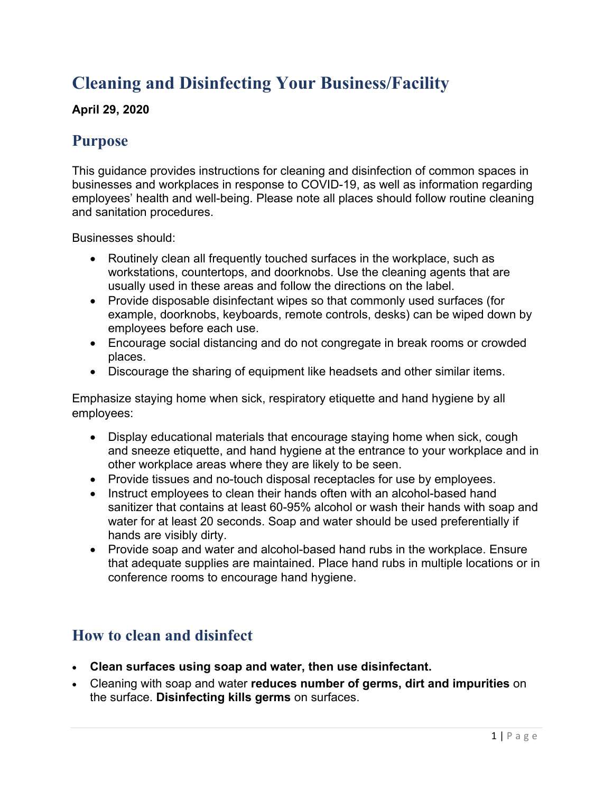# **Cleaning and Disinfecting Your Business/Facility**

#### **April 29, 2020**

### **Purpose**

This guidance provides instructions for cleaning and disinfection of common spaces in businesses and workplaces in response to COVID-19, as well as information regarding employees' health and well-being. Please note all places should follow routine cleaning and sanitation procedures.

Businesses should:

- Routinely clean all frequently touched surfaces in the workplace, such as workstations, countertops, and doorknobs. Use the cleaning agents that are usually used in these areas and follow the directions on the label.
- Provide disposable disinfectant wipes so that commonly used surfaces (for example, doorknobs, keyboards, remote controls, desks) can be wiped down by employees before each use.
- Encourage social distancing and do not congregate in break rooms or crowded places.
- Discourage the sharing of equipment like headsets and other similar items.

Emphasize staying home when sick, respiratory etiquette and hand hygiene by all employees:

- Display educational materials that encourage staying home when sick, cough and sneeze etiquette, and hand hygiene at the entrance to your workplace and in other workplace areas where they are likely to be seen.
- Provide tissues and no-touch disposal receptacles for use by employees.
- Instruct employees to clean their hands often with an alcohol-based hand sanitizer that contains at least 60-95% alcohol or wash their hands with soap and water for at least 20 seconds. Soap and water should be used preferentially if hands are visibly dirty.
- Provide soap and water and alcohol-based hand rubs in the workplace. Ensure that adequate supplies are maintained. Place hand rubs in multiple locations or in conference rooms to encourage hand hygiene.

### **How to clean and disinfect**

- **Clean surfaces using soap and water, then use disinfectant.**
- Cleaning with soap and water **reduces number of germs, dirt and impurities** on the surface. **Disinfecting kills germs** on surfaces.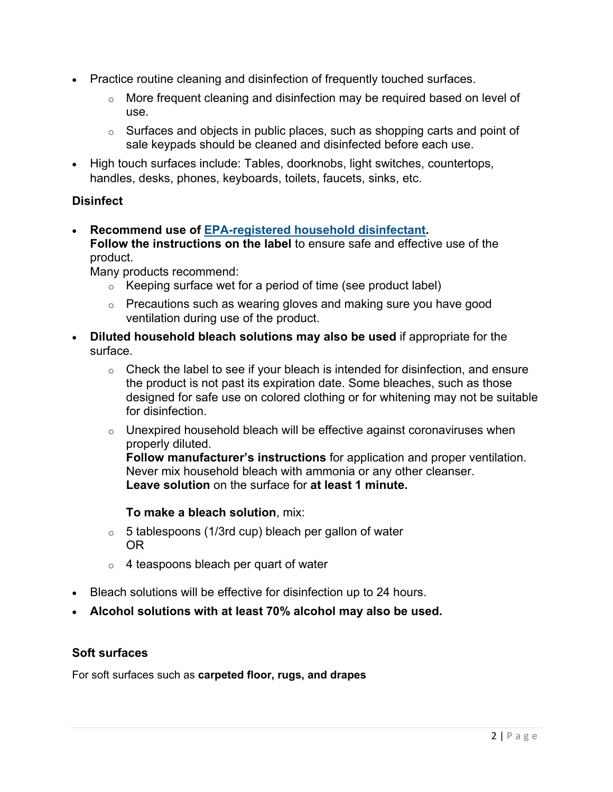- Practice routine cleaning and disinfection of frequently touched surfaces.
	- $\circ$  More frequent cleaning and disinfection may be required based on level of use.
	- $\circ$  Surfaces and objects in public places, such as shopping carts and point of sale keypads should be cleaned and disinfected before each use.
- High touch surfaces include: Tables, doorknobs, light switches, countertops, handles, desks, phones, keyboards, toilets, faucets, sinks, etc.

#### **Disinfect**

• **Recommend use of [EPA-registered household disinfectant.](https://www.epa.gov/pesticide-registration/list-n-disinfectants-use-against-sars-cov-2) Follow the instructions on the label** to ensure safe and effective use of the product.

Many products recommend:

- $\circ$  Keeping surface wet for a period of time (see product label)
- $\circ$  Precautions such as wearing gloves and making sure you have good ventilation during use of the product.
- **Diluted household bleach solutions may also be used** if appropriate for the surface.
	- $\circ$  Check the label to see if your bleach is intended for disinfection, and ensure the product is not past its expiration date. Some bleaches, such as those designed for safe use on colored clothing or for whitening may not be suitable for disinfection.
	- $\circ$  Unexpired household bleach will be effective against coronaviruses when properly diluted.

**Follow manufacturer's instructions** for application and proper ventilation. Never mix household bleach with ammonia or any other cleanser. **Leave solution** on the surface for **at least 1 minute.**

**To make a bleach solution**, mix:

- $\circ$  5 tablespoons (1/3rd cup) bleach per gallon of water OR
- $\circ$  4 teaspoons bleach per quart of water
- Bleach solutions will be effective for disinfection up to 24 hours.
- **Alcohol solutions with at least 70% alcohol may also be used.**

#### **Soft surfaces**

For soft surfaces such as **carpeted floor, rugs, and drapes**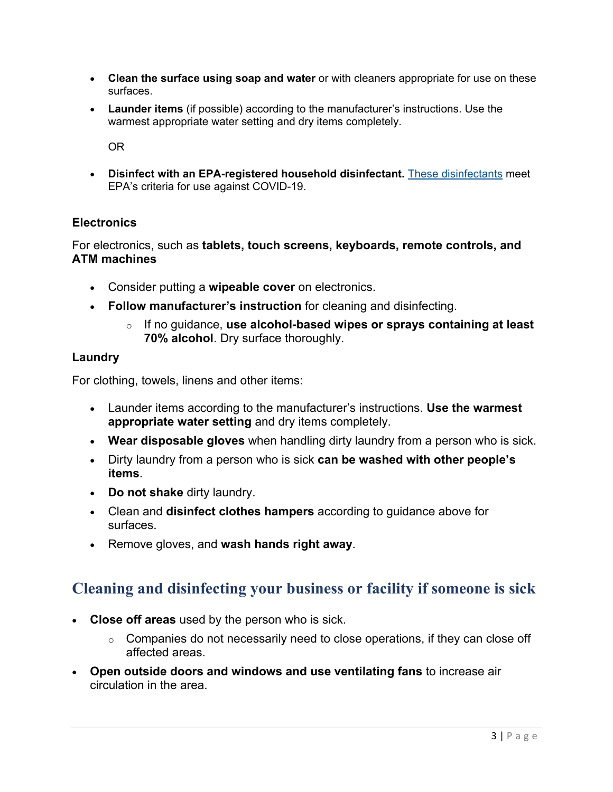- **Clean the surface using soap and water** or with cleaners appropriate for use on these surfaces.
- **Launder items** (if possible) according to the manufacturer's instructions. Use the warmest appropriate water setting and dry items completely.

OR

• **Disinfect with an EPA-registered household disinfectant.** [These disinfectants](https://www.epa.gov/pesticide-registration/list-n-disinfectants-use-against-sars-cov-2) meet EPA's criteria for use against COVID-19.

#### **Electronics**

For electronics, such as **tablets, touch screens, keyboards, remote controls, and ATM machines**

- Consider putting a **wipeable cover** on electronics.
- **Follow manufacturer's instruction** for cleaning and disinfecting.
	- o If no guidance, **use alcohol-based wipes or sprays containing at least 70% alcohol**. Dry surface thoroughly.

#### **Laundry**

For clothing, towels, linens and other items:

- Launder items according to the manufacturer's instructions. **Use the warmest appropriate water setting** and dry items completely.
- **Wear disposable gloves** when handling dirty laundry from a person who is sick.
- Dirty laundry from a person who is sick **can be washed with other people's items**.
- **Do not shake** dirty laundry.
- Clean and **disinfect clothes hampers** according to guidance above for surfaces.
- Remove gloves, and **wash hands right away**.

### **Cleaning and disinfecting your business or facility if someone is sick**

- **Close off areas** used by the person who is sick.
	- $\circ$  Companies do not necessarily need to close operations, if they can close off affected areas.
- **Open outside doors and windows and use ventilating fans** to increase air circulation in the area.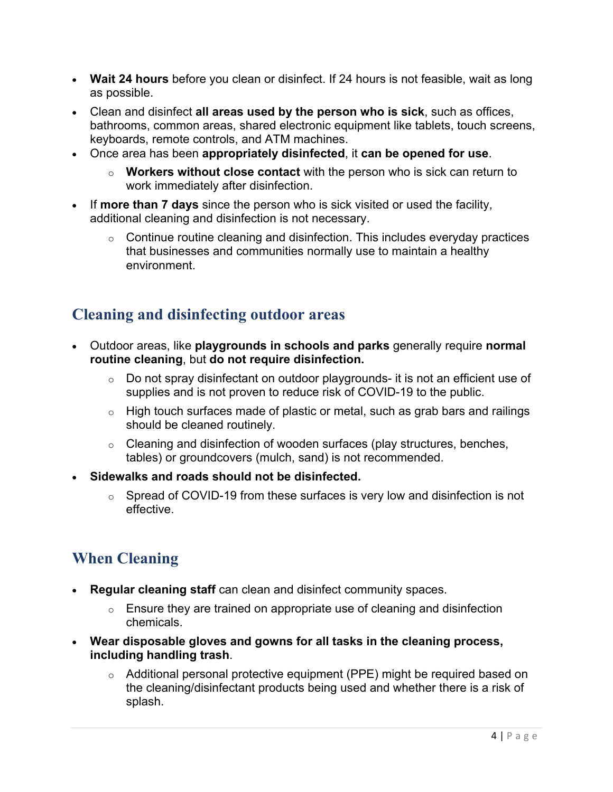- **Wait 24 hours** before you clean or disinfect. If 24 hours is not feasible, wait as long as possible.
- Clean and disinfect **all areas used by the person who is sick**, such as offices, bathrooms, common areas, shared electronic equipment like tablets, touch screens, keyboards, remote controls, and ATM machines.
- Once area has been **appropriately disinfected**, it **can be opened for use**.
	- o **Workers without close contact** with the person who is sick can return to work immediately after disinfection.
- If **more than 7 days** since the person who is sick visited or used the facility, additional cleaning and disinfection is not necessary.
	- $\circ$  Continue routine cleaning and disinfection. This includes everyday practices that businesses and communities normally use to maintain a healthy environment.

## **Cleaning and disinfecting outdoor areas**

- Outdoor areas, like **playgrounds in schools and parks** generally require **normal routine cleaning**, but **do not require disinfection.**
	- $\circ$  Do not spray disinfectant on outdoor playgrounds- it is not an efficient use of supplies and is not proven to reduce risk of COVID-19 to the public.
	- $\circ$  High touch surfaces made of plastic or metal, such as grab bars and railings should be cleaned routinely.
	- $\circ$  Cleaning and disinfection of wooden surfaces (play structures, benches, tables) or groundcovers (mulch, sand) is not recommended.
- **Sidewalks and roads should not be disinfected.**
	- $\circ$  Spread of COVID-19 from these surfaces is very low and disinfection is not effective.

## **When Cleaning**

- **Regular cleaning staff** can clean and disinfect community spaces.
	- $\circ$  Ensure they are trained on appropriate use of cleaning and disinfection chemicals.
- **Wear disposable gloves and gowns for all tasks in the cleaning process, including handling trash**.
	- o Additional personal protective equipment (PPE) might be required based on the cleaning/disinfectant products being used and whether there is a risk of splash.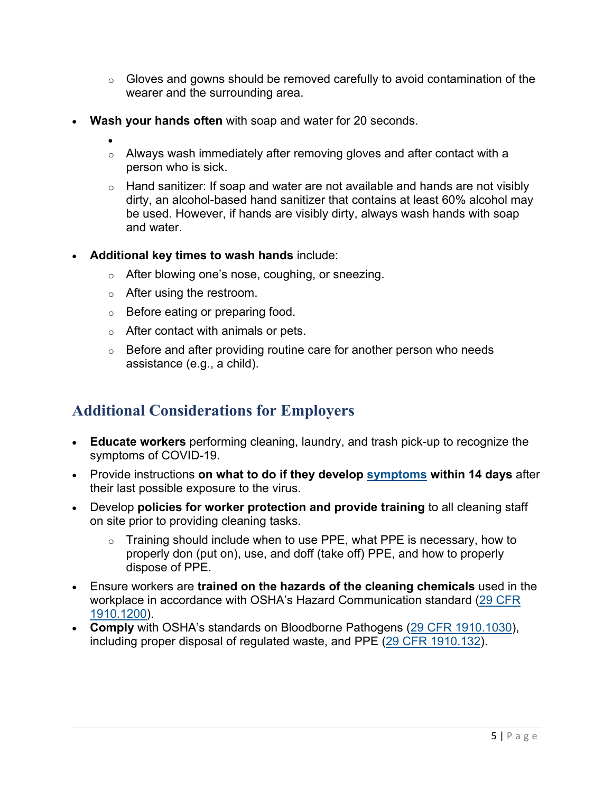- $\circ$  Gloves and gowns should be removed carefully to avoid contamination of the wearer and the surrounding area.
- **Wash your hands often** with soap and water for 20 seconds.
	- $\circ$  Always wash immediately after removing gloves and after contact with a person who is sick.
		- $\circ$  Hand sanitizer: If soap and water are not available and hands are not visibly dirty, an alcohol-based hand sanitizer that contains at least 60% alcohol may be used. However, if hands are visibly dirty, always wash hands with soap and water.
- **Additional key times to wash hands** include:
	- o After blowing one's nose, coughing, or sneezing.
	- o After using the restroom.
	- o Before eating or preparing food.
	- $\circ$  After contact with animals or pets.
	- $\circ$  Before and after providing routine care for another person who needs assistance (e.g., a child).

### **Additional Considerations for Employers**

- **Educate workers** performing cleaning, laundry, and trash pick-up to recognize the symptoms of COVID-19.
- Provide instructions **on what to do if they develop [symptoms](https://www.cdc.gov/coronavirus/2019-ncov/about/symptoms.html) within 14 days** after their last possible exposure to the virus.
- Develop **policies for worker protection and provide training** to all cleaning staff on site prior to providing cleaning tasks.
	- $\circ$  Training should include when to use PPE, what PPE is necessary, how to properly don (put on), use, and doff (take off) PPE, and how to properly dispose of PPE.
- Ensure workers are **trained on the hazards of the cleaning chemicals** used in the workplace in accordance with OSHA's Hazard Communication standard [\(29 CFR](https://www.osha.gov/laws-regs/regulations/standardnumber/1910/1910.1200)  [1910.1200\)](https://www.osha.gov/laws-regs/regulations/standardnumber/1910/1910.1200).
- **Comply** with OSHA's standards on Bloodborne Pathogens [\(29 CFR 1910.1030\)](https://www.osha.gov/laws-regs/regulations/standardnumber/1910/1910.1030), including proper disposal of regulated waste, and PPE [\(29 CFR 1910.132\)](https://www.osha.gov/laws-regs/regulations/standardnumber/1910/1910.132).